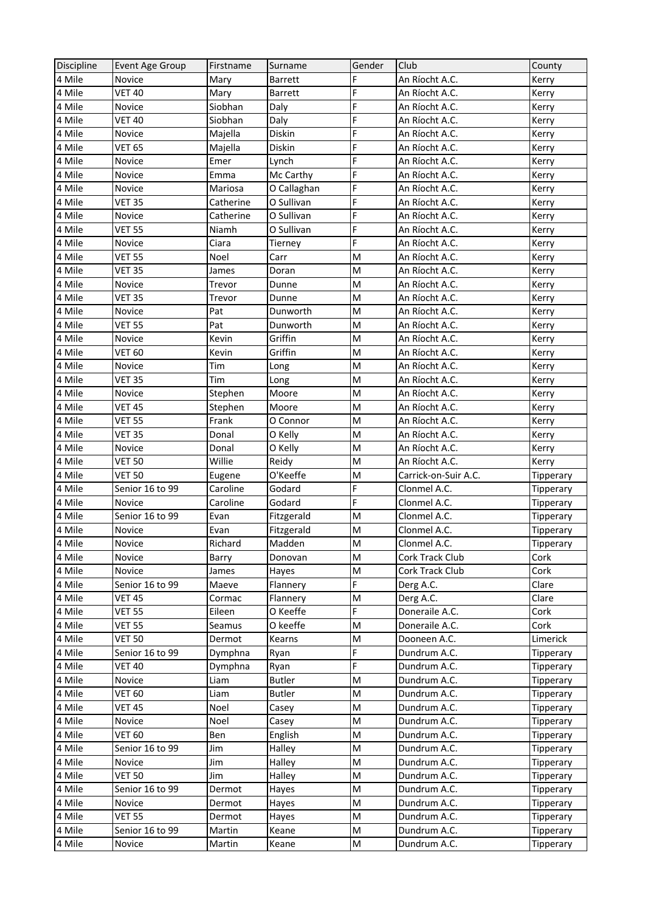| Discipline | Event Age Group | Firstname | Surname        | Gender | Club                 | County           |
|------------|-----------------|-----------|----------------|--------|----------------------|------------------|
| 4 Mile     | Novice          | Mary      | <b>Barrett</b> | F      | An Ríocht A.C.       | Kerry            |
| 4 Mile     | <b>VET 40</b>   | Mary      | Barrett        | F      | An Ríocht A.C.       | Kerry            |
| 4 Mile     | Novice          | Siobhan   | Daly           | F      | An Ríocht A.C.       | Kerry            |
| 4 Mile     | <b>VET 40</b>   | Siobhan   | Daly           | F      | An Ríocht A.C.       | Kerry            |
| 4 Mile     | Novice          | Majella   | Diskin         | F      | An Ríocht A.C.       | Kerry            |
| 4 Mile     | <b>VET 65</b>   | Majella   | Diskin         | F      | An Ríocht A.C.       | Kerry            |
| 4 Mile     | Novice          | Emer      | Lynch          | F      | An Ríocht A.C.       | Kerry            |
| 4 Mile     | Novice          | Emma      | Mc Carthy      | F      | An Ríocht A.C.       | Kerry            |
| 4 Mile     | Novice          | Mariosa   | O Callaghan    | F      | An Ríocht A.C.       | Kerry            |
| 4 Mile     | <b>VET 35</b>   | Catherine | O Sullivan     | F      | An Ríocht A.C.       | Kerry            |
| 4 Mile     | Novice          | Catherine | O Sullivan     | F      | An Ríocht A.C.       | Kerry            |
| 4 Mile     | <b>VET 55</b>   | Niamh     | O Sullivan     | F      | An Ríocht A.C.       | Kerry            |
| 4 Mile     | Novice          | Ciara     | Tierney        | F      | An Ríocht A.C.       | Kerry            |
| 4 Mile     | <b>VET 55</b>   | Noel      | Carr           | M      | An Ríocht A.C.       | Kerry            |
| 4 Mile     | <b>VET 35</b>   | James     | Doran          | M      | An Ríocht A.C.       | Kerry            |
| 4 Mile     | Novice          | Trevor    | Dunne          | M      | An Ríocht A.C.       | Kerry            |
| 4 Mile     | <b>VET 35</b>   | Trevor    | Dunne          | M      | An Ríocht A.C.       | Kerry            |
| 4 Mile     | Novice          | Pat       | Dunworth       | M      | An Ríocht A.C.       | Kerry            |
| 4 Mile     | <b>VET 55</b>   | Pat       | Dunworth       | M      | An Ríocht A.C.       | Kerry            |
| 4 Mile     | Novice          | Kevin     | Griffin        | M      | An Ríocht A.C.       | Kerry            |
| 4 Mile     | <b>VET 60</b>   | Kevin     | Griffin        | M      | An Ríocht A.C.       | Kerry            |
| 4 Mile     | Novice          | Tim       | Long           | M      | An Ríocht A.C.       | Kerry            |
| 4 Mile     | <b>VET 35</b>   | Tim       | Long           | M      | An Ríocht A.C.       | Kerry            |
| 4 Mile     | Novice          | Stephen   | Moore          | M      | An Ríocht A.C.       | Kerry            |
| 4 Mile     | <b>VET 45</b>   | Stephen   | Moore          | M      | An Ríocht A.C.       | Kerry            |
| 4 Mile     | <b>VET 55</b>   | Frank     | O Connor       | M      | An Ríocht A.C.       | Kerry            |
| 4 Mile     | <b>VET 35</b>   | Donal     | O Kelly        | M      | An Ríocht A.C.       | Kerry            |
| 4 Mile     | Novice          | Donal     | O Kelly        | M      | An Ríocht A.C.       | Kerry            |
| 4 Mile     | <b>VET 50</b>   | Willie    | Reidy          | M      | An Ríocht A.C.       | Kerry            |
| 4 Mile     | <b>VET 50</b>   | Eugene    | O'Keeffe       | M      | Carrick-on-Suir A.C. | Tipperary        |
| 4 Mile     | Senior 16 to 99 | Caroline  | Godard         | F      | Clonmel A.C.         | Tipperary        |
| 4 Mile     | Novice          | Caroline  | Godard         | F      | Clonmel A.C.         | Tipperary        |
| 4 Mile     | Senior 16 to 99 | Evan      | Fitzgerald     | M      | Clonmel A.C.         | Tipperary        |
| 4 Mile     | Novice          | Evan      | Fitzgerald     | M      | Clonmel A.C.         | <b>Tipperary</b> |
| 4 Mile     | Novice          | Richard   | Madden         | M      | Clonmel A.C.         | Tipperary        |
| 4 Mile     | Novice          | Barry     | Donovan        | M      | Cork Track Club      | Cork             |
| 4 Mile     | Novice          | James     | Hayes          | M      | Cork Track Club      | Cork             |
| 4 Mile     | Senior 16 to 99 | Maeve     | Flannery       | F      | Derg A.C.            | Clare            |
| 4 Mile     | <b>VET 45</b>   | Cormac    | Flannery       | M      | Derg A.C.            | Clare            |
| 4 Mile     | <b>VET 55</b>   | Eileen    | O Keeffe       | F      | Doneraile A.C.       | Cork             |
| 4 Mile     | VET 55          | Seamus    | O keeffe       | M      | Doneraile A.C.       | Cork             |
| 4 Mile     | <b>VET 50</b>   | Dermot    | Kearns         | M      | Dooneen A.C.         | Limerick         |
| 4 Mile     | Senior 16 to 99 | Dymphna   | Ryan           | F      | Dundrum A.C.         | Tipperary        |
| 4 Mile     | <b>VET 40</b>   | Dymphna   | Ryan           | F.     | Dundrum A.C.         | <b>Tipperary</b> |
| 4 Mile     | Novice          | Liam      | <b>Butler</b>  | M      | Dundrum A.C.         | Tipperary        |
| 4 Mile     | <b>VET 60</b>   | Liam      | <b>Butler</b>  | M      | Dundrum A.C.         | Tipperary        |
| 4 Mile     | <b>VET 45</b>   | Noel      | Casey          | M      | Dundrum A.C.         | Tipperary        |
| 4 Mile     | Novice          | Noel      | Casey          | M      | Dundrum A.C.         | Tipperary        |
| 4 Mile     | VET 60          | Ben       | English        | M      | Dundrum A.C.         | Tipperary        |
| 4 Mile     | Senior 16 to 99 | Jim       | Halley         | M      | Dundrum A.C.         | Tipperary        |
| 4 Mile     | Novice          | Jim       | Halley         | M      | Dundrum A.C.         | Tipperary        |
| 4 Mile     | <b>VET 50</b>   | Jim       | Halley         | M      | Dundrum A.C.         | Tipperary        |
| 4 Mile     | Senior 16 to 99 | Dermot    | Hayes          | M      | Dundrum A.C.         | Tipperary        |
| 4 Mile     | Novice          | Dermot    | Hayes          | M      | Dundrum A.C.         | Tipperary        |
| 4 Mile     | <b>VET 55</b>   | Dermot    | Hayes          | M      | Dundrum A.C.         | <b>Tipperary</b> |
| 4 Mile     | Senior 16 to 99 | Martin    | Keane          | M      | Dundrum A.C.         | Tipperary        |
| 4 Mile     | Novice          | Martin    | Keane          | M      | Dundrum A.C.         | Tipperary        |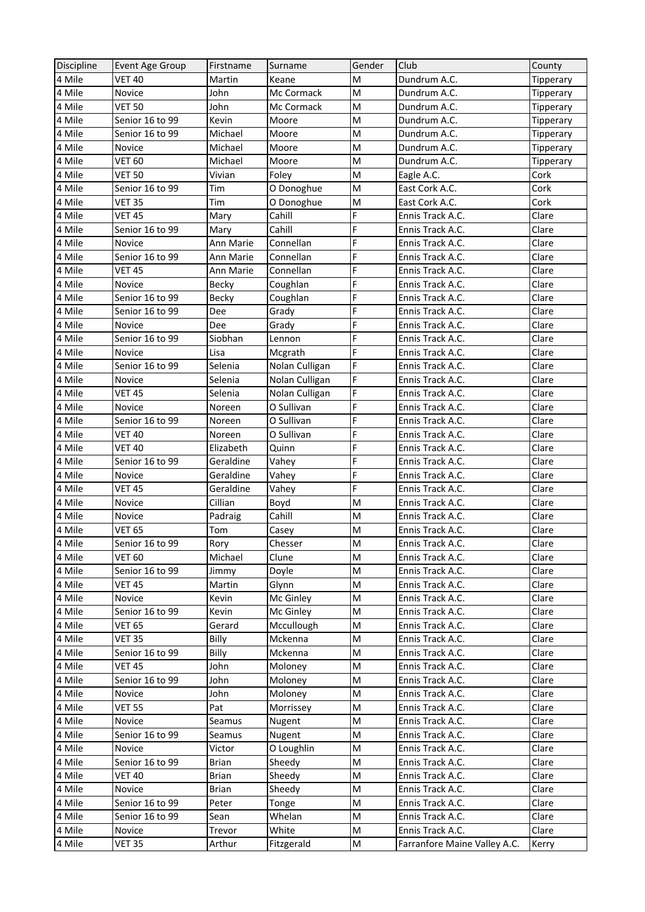| Discipline | Event Age Group | Firstname    | Surname        | Gender                                                                                | Club                         | County           |
|------------|-----------------|--------------|----------------|---------------------------------------------------------------------------------------|------------------------------|------------------|
| 4 Mile     | <b>VET 40</b>   | Martin       | Keane          | M                                                                                     | Dundrum A.C.                 | Tipperary        |
| 4 Mile     | Novice          | John         | Mc Cormack     | M                                                                                     | Dundrum A.C.                 | Tipperary        |
| 4 Mile     | <b>VET 50</b>   | John         | Mc Cormack     | M                                                                                     | Dundrum A.C.                 | <b>Tipperary</b> |
| 4 Mile     | Senior 16 to 99 | Kevin        | Moore          | M                                                                                     | Dundrum A.C.                 | Tipperary        |
| 4 Mile     | Senior 16 to 99 | Michael      | Moore          | M                                                                                     | Dundrum A.C.                 | <b>Tipperary</b> |
| 4 Mile     | Novice          | Michael      | Moore          | M                                                                                     | Dundrum A.C.                 | Tipperary        |
| 4 Mile     | <b>VET 60</b>   | Michael      | Moore          | M                                                                                     | Dundrum A.C.                 | Tipperary        |
| 4 Mile     | <b>VET 50</b>   | Vivian       | Foley          | M                                                                                     | Eagle A.C.                   | Cork             |
| 4 Mile     | Senior 16 to 99 | Tim          | O Donoghue     | M                                                                                     | East Cork A.C.               | Cork             |
| 4 Mile     | <b>VET 35</b>   | Tim          | O Donoghue     | M                                                                                     | East Cork A.C.               | Cork             |
| 4 Mile     | <b>VET 45</b>   | Mary         | Cahill         | F                                                                                     | Ennis Track A.C.             | Clare            |
| 4 Mile     | Senior 16 to 99 | Mary         | Cahill         | F                                                                                     | Ennis Track A.C.             | Clare            |
| 4 Mile     | Novice          | Ann Marie    | Connellan      | F                                                                                     | Ennis Track A.C.             | Clare            |
| 4 Mile     | Senior 16 to 99 | Ann Marie    | Connellan      | F                                                                                     | Ennis Track A.C.             | Clare            |
| 4 Mile     | <b>VET 45</b>   | Ann Marie    | Connellan      | F                                                                                     | Ennis Track A.C.             | Clare            |
| 4 Mile     | Novice          | <b>Becky</b> | Coughlan       | F                                                                                     | Ennis Track A.C.             | Clare            |
| 4 Mile     | Senior 16 to 99 | Becky        | Coughlan       | F                                                                                     | Ennis Track A.C.             | Clare            |
| 4 Mile     | Senior 16 to 99 | Dee          | Grady          | F                                                                                     | Ennis Track A.C.             | Clare            |
| 4 Mile     | Novice          | Dee          | Grady          | F                                                                                     | Ennis Track A.C.             | Clare            |
| 4 Mile     | Senior 16 to 99 | Siobhan      | Lennon         | F                                                                                     | Ennis Track A.C.             | Clare            |
| 4 Mile     | Novice          | Lisa         | Mcgrath        | F                                                                                     | Ennis Track A.C.             | Clare            |
| 4 Mile     | Senior 16 to 99 | Selenia      | Nolan Culligan | F                                                                                     | Ennis Track A.C.             | Clare            |
| 4 Mile     | Novice          | Selenia      | Nolan Culligan | F                                                                                     | Ennis Track A.C.             | Clare            |
| 4 Mile     | <b>VET 45</b>   | Selenia      | Nolan Culligan | F                                                                                     | Ennis Track A.C.             | Clare            |
| 4 Mile     | Novice          | Noreen       | O Sullivan     | F                                                                                     | Ennis Track A.C.             | Clare            |
| 4 Mile     | Senior 16 to 99 | Noreen       | O Sullivan     | F                                                                                     | Ennis Track A.C.             | Clare            |
| 4 Mile     | <b>VET 40</b>   | Noreen       | O Sullivan     | F                                                                                     | Ennis Track A.C.             | Clare            |
| 4 Mile     | <b>VET 40</b>   | Elizabeth    | Quinn          | F                                                                                     | Ennis Track A.C.             | Clare            |
| 4 Mile     | Senior 16 to 99 | Geraldine    | Vahey          | F                                                                                     | Ennis Track A.C.             | Clare            |
| 4 Mile     | Novice          | Geraldine    | Vahey          | F                                                                                     | Ennis Track A.C.             | Clare            |
| 4 Mile     | <b>VET 45</b>   | Geraldine    | Vahey          | F                                                                                     | Ennis Track A.C.             | Clare            |
| 4 Mile     | Novice          | Cillian      | Boyd           | M                                                                                     | Ennis Track A.C.             | Clare            |
| 4 Mile     | Novice          | Padraig      | Cahill         | M                                                                                     | Ennis Track A.C.             | Clare            |
| 4 Mile     | <b>VET 65</b>   | Tom          | Casey          | M                                                                                     | Ennis Track A.C.             | Clare            |
| 4 Mile     | Senior 16 to 99 | Rory         | Chesser        | $\mathsf{M}% _{T}=\mathsf{M}_{T}\!\left( a,b\right) ,\ \mathsf{M}_{T}=\mathsf{M}_{T}$ | Ennis Track A.C.             | Clare            |
| 4 Mile     | VET 60          | Michael      | Clune          | M                                                                                     | Ennis Track A.C.             | Clare            |
| 4 Mile     | Senior 16 to 99 | Jimmy        | Doyle          | M                                                                                     | Ennis Track A.C.             | Clare            |
| 4 Mile     | <b>VET 45</b>   | Martin       | Glynn          | M                                                                                     | Ennis Track A.C.             | Clare            |
| 4 Mile     | Novice          | Kevin        | Mc Ginley      | M                                                                                     | Ennis Track A.C.             | Clare            |
| 4 Mile     | Senior 16 to 99 | Kevin        | Mc Ginley      | M                                                                                     | Ennis Track A.C.             | Clare            |
| 4 Mile     | <b>VET 65</b>   | Gerard       | Mccullough     | M                                                                                     | Ennis Track A.C.             | Clare            |
| 4 Mile     | <b>VET 35</b>   | Billy        | Mckenna        | M                                                                                     | Ennis Track A.C.             | Clare            |
| 4 Mile     | Senior 16 to 99 | Billy        | Mckenna        | M                                                                                     | Ennis Track A.C.             | Clare            |
| 4 Mile     | <b>VET 45</b>   | John         | Moloney        | M                                                                                     | Ennis Track A.C.             | Clare            |
| 4 Mile     | Senior 16 to 99 | John         | Moloney        | M                                                                                     | Ennis Track A.C.             | Clare            |
| 4 Mile     | Novice          | John         | Moloney        | M                                                                                     | Ennis Track A.C.             | Clare            |
| 4 Mile     | <b>VET 55</b>   | Pat          | Morrissey      | M                                                                                     | Ennis Track A.C.             | Clare            |
| 4 Mile     | Novice          | Seamus       | Nugent         | M                                                                                     | Ennis Track A.C.             | Clare            |
| 4 Mile     | Senior 16 to 99 | Seamus       | Nugent         | M                                                                                     | Ennis Track A.C.             | Clare            |
| 4 Mile     | Novice          | Victor       | O Loughlin     | M                                                                                     | Ennis Track A.C.             | Clare            |
| 4 Mile     | Senior 16 to 99 | <b>Brian</b> | Sheedy         | M                                                                                     | Ennis Track A.C.             | Clare            |
| 4 Mile     | <b>VET 40</b>   | <b>Brian</b> | Sheedy         | M                                                                                     | Ennis Track A.C.             | Clare            |
| 4 Mile     | Novice          | <b>Brian</b> | Sheedy         | M                                                                                     | Ennis Track A.C.             | Clare            |
| 4 Mile     | Senior 16 to 99 | Peter        | Tonge          | M                                                                                     | Ennis Track A.C.             | Clare            |
| 4 Mile     | Senior 16 to 99 | Sean         | Whelan         | M                                                                                     | Ennis Track A.C.             | Clare            |
| 4 Mile     | Novice          | Trevor       | White          | M                                                                                     | Ennis Track A.C.             | Clare            |
| 4 Mile     | <b>VET 35</b>   | Arthur       | Fitzgerald     | M                                                                                     | Farranfore Maine Valley A.C. | Kerry            |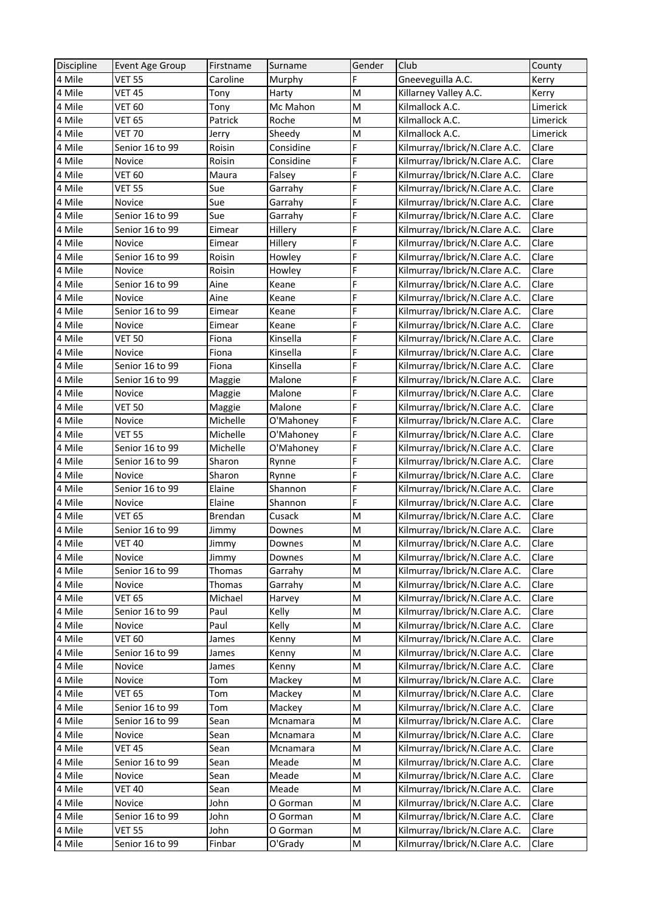| F<br>4 Mile<br>Gneeveguilla A.C.<br><b>VET 55</b><br>Caroline<br>Murphy<br>Kerry<br>4 Mile<br><b>VET 45</b><br>M<br>Killarney Valley A.C.<br>Tony<br>Harty<br>Kerry<br>4 Mile<br><b>VET 60</b><br>Mc Mahon<br>M<br>Kilmallock A.C.<br>Limerick<br>Tony<br>4 Mile<br><b>VET 65</b><br>Roche<br>M<br>Kilmallock A.C.<br>Patrick<br>Limerick<br>4 Mile<br>Sheedy<br>M<br><b>VET 70</b><br>Kilmallock A.C.<br>Limerick<br>Jerry<br>F<br>Kilmurray/Ibrick/N.Clare A.C.<br>4 Mile<br>Senior 16 to 99<br>Roisin<br>Considine<br>Clare<br>F<br>4 Mile<br>Clare<br>Roisin<br>Considine<br>Kilmurray/Ibrick/N.Clare A.C.<br>Novice<br>F<br>4 Mile<br>VET 60<br>Falsey<br>Kilmurray/Ibrick/N.Clare A.C.<br>Clare<br>Maura<br>F<br>4 Mile<br>Kilmurray/Ibrick/N.Clare A.C.<br>Clare<br>VET 55<br>Sue<br>Garrahy<br>F<br>4 Mile<br>Kilmurray/Ibrick/N.Clare A.C.<br>Clare<br>Sue<br>Novice<br>Garrahy<br>F<br>Senior 16 to 99<br>Kilmurray/Ibrick/N.Clare A.C.<br>4 Mile<br>Sue<br>Garrahy<br>Clare<br>F<br>4 Mile<br>Senior 16 to 99<br>Kilmurray/Ibrick/N.Clare A.C.<br>Clare<br>Hillery<br>Eimear<br>F<br>4 Mile<br>Hillery<br>Kilmurray/Ibrick/N.Clare A.C.<br>Clare<br>Novice<br>Eimear<br>F<br>4 Mile<br>Kilmurray/Ibrick/N.Clare A.C.<br>Clare<br>Senior 16 to 99<br>Roisin<br>Howley<br>F<br>4 Mile<br>Clare<br>Roisin<br>Howley<br>Kilmurray/Ibrick/N.Clare A.C.<br>Novice<br>F<br>Kilmurray/Ibrick/N.Clare A.C.<br>Clare<br>4 Mile<br>Senior 16 to 99<br>Aine<br>Keane<br>F<br>Clare<br>4 Mile<br>Kilmurray/Ibrick/N.Clare A.C.<br>Novice<br>Aine<br>Keane<br>F<br>4 Mile<br>Kilmurray/Ibrick/N.Clare A.C.<br>Clare<br>Senior 16 to 99<br>Eimear<br>Keane<br>F<br>Clare<br>4 Mile<br>Kilmurray/Ibrick/N.Clare A.C.<br>Novice<br>Keane<br>Eimear<br>F<br>4 Mile<br><b>VET 50</b><br>Kilmurray/Ibrick/N.Clare A.C.<br>Clare<br>Fiona<br>Kinsella<br>F<br>4 Mile<br>Kilmurray/Ibrick/N.Clare A.C.<br>Clare<br>Novice<br>Fiona<br>Kinsella<br>F<br>4 Mile<br>Senior 16 to 99<br>Kinsella<br>Kilmurray/Ibrick/N.Clare A.C.<br>Clare<br>Fiona<br>F<br>4 Mile<br>Senior 16 to 99<br>Malone<br>Kilmurray/Ibrick/N.Clare A.C.<br>Clare<br>Maggie<br>F<br>4 Mile<br>Malone<br>Kilmurray/Ibrick/N.Clare A.C.<br>Clare<br>Novice<br>Maggie<br>F<br>4 Mile<br><b>VET 50</b><br>Malone<br>Kilmurray/Ibrick/N.Clare A.C.<br>Clare<br>Maggie<br>F<br>Kilmurray/Ibrick/N.Clare A.C.<br>Clare<br>4 Mile<br>Novice<br>Michelle<br>O'Mahoney<br>F<br>4 Mile<br>Clare<br>VET 55<br>Michelle<br>O'Mahoney<br>Kilmurray/Ibrick/N.Clare A.C.<br>F<br>4 Mile<br>Michelle<br>O'Mahoney<br>Clare<br>Senior 16 to 99<br>Kilmurray/Ibrick/N.Clare A.C.<br>F<br>4 Mile<br>Clare<br>Senior 16 to 99<br>Kilmurray/Ibrick/N.Clare A.C.<br>Sharon<br>Rynne<br>F<br>4 Mile<br>Kilmurray/Ibrick/N.Clare A.C.<br>Clare<br>Sharon<br>Novice<br>Rynne<br>F<br>Clare<br>4 Mile<br>Senior 16 to 99<br>Elaine<br>Shannon<br>Kilmurray/Ibrick/N.Clare A.C.<br>F<br>4 Mile<br>Shannon<br>Kilmurray/Ibrick/N.Clare A.C.<br>Clare<br>Novice<br>Elaine<br>4 Mile<br><b>VET 65</b><br>M<br>Kilmurray/Ibrick/N.Clare A.C.<br>Clare<br>Brendan<br>Cusack<br>4 Mile<br>Kilmurray/Ibrick/N.Clare A.C.<br>Clare<br>Senior 16 to 99<br>Downes<br>M<br>Jimmy<br>4 Mile<br>$\mathsf{M}% _{T}=\mathsf{M}_{T}\!\left( a,b\right) ,\ \mathsf{M}_{T}=\mathsf{M}_{T}$<br><b>VET 40</b><br>Clare<br>Jimmy<br>Downes<br>Kilmurray/Ibrick/N.Clare A.C.<br>M<br>Kilmurray/Ibrick/N.Clare A.C.<br>4 Mile<br>Novice<br>Jimmy<br>Clare<br>Downes<br>4 Mile<br>M<br>Kilmurray/Ibrick/N.Clare A.C.<br>Senior 16 to 99<br>Thomas<br>Garrahy<br>Clare<br>M<br>4 Mile<br>Novice<br>Thomas<br>Garrahy<br>Kilmurray/Ibrick/N.Clare A.C.<br>Clare<br>4 Mile<br><b>VET 65</b><br>Kilmurray/Ibrick/N.Clare A.C.<br>Michael<br>M<br>Clare<br>Harvey<br>4 Mile<br>Kilmurray/Ibrick/N.Clare A.C.<br>Senior 16 to 99<br>Kelly<br>M<br>Clare<br>Paul<br>Kilmurray/Ibrick/N.Clare A.C.<br>4 Mile<br>Novice<br>Paul<br>Kelly<br>M<br>Clare<br>4 Mile<br><b>VET 60</b><br>Kilmurray/Ibrick/N.Clare A.C.<br>M<br>Clare<br>James<br>Kenny<br>4 Mile<br>Senior 16 to 99<br>Kilmurray/Ibrick/N.Clare A.C.<br>M<br>Clare<br>James<br>Kenny<br>4 Mile<br>Kilmurray/Ibrick/N.Clare A.C.<br>Novice<br>M<br>Clare<br>Kenny<br>James<br>Kilmurray/Ibrick/N.Clare A.C.<br>4 Mile<br>Novice<br>M<br>Clare<br>Tom<br>Mackey<br>4 Mile<br>VET 65<br>M<br>Kilmurray/Ibrick/N.Clare A.C.<br>Clare<br>Tom<br>Mackey<br>4 Mile<br>M<br>Kilmurray/Ibrick/N.Clare A.C.<br>Clare<br>Senior 16 to 99<br>Mackey<br>Tom<br>4 Mile<br>M<br>Kilmurray/Ibrick/N.Clare A.C.<br>Senior 16 to 99<br>Mcnamara<br>Clare<br>Sean<br>4 Mile<br>Kilmurray/Ibrick/N.Clare A.C.<br>Novice<br>M<br>Clare<br>Sean<br>Mcnamara<br>4 Mile<br>Kilmurray/Ibrick/N.Clare A.C.<br>VET 45<br>M<br>Clare<br>Sean<br>Mcnamara<br>Kilmurray/Ibrick/N.Clare A.C.<br>4 Mile<br>Senior 16 to 99<br>Meade<br>M<br>Clare<br>Sean<br>4 Mile<br>Meade<br>Kilmurray/Ibrick/N.Clare A.C.<br>Novice<br>M<br>Clare<br>Sean<br>4 Mile<br><b>VET 40</b><br>Meade<br>M<br>Kilmurray/Ibrick/N.Clare A.C.<br>Clare<br>Sean<br>4 Mile<br>Kilmurray/Ibrick/N.Clare A.C.<br>Novice<br>John<br>O Gorman<br>M<br>Clare<br>Kilmurray/Ibrick/N.Clare A.C.<br>4 Mile<br>Senior 16 to 99<br>John<br>M<br>Clare<br>O Gorman<br>Kilmurray/Ibrick/N.Clare A.C.<br>4 Mile<br>VET 55<br>John<br>O Gorman<br>M<br>Clare | Discipline | Event Age Group | Firstname | Surname | Gender | Club                          | County |
|------------------------------------------------------------------------------------------------------------------------------------------------------------------------------------------------------------------------------------------------------------------------------------------------------------------------------------------------------------------------------------------------------------------------------------------------------------------------------------------------------------------------------------------------------------------------------------------------------------------------------------------------------------------------------------------------------------------------------------------------------------------------------------------------------------------------------------------------------------------------------------------------------------------------------------------------------------------------------------------------------------------------------------------------------------------------------------------------------------------------------------------------------------------------------------------------------------------------------------------------------------------------------------------------------------------------------------------------------------------------------------------------------------------------------------------------------------------------------------------------------------------------------------------------------------------------------------------------------------------------------------------------------------------------------------------------------------------------------------------------------------------------------------------------------------------------------------------------------------------------------------------------------------------------------------------------------------------------------------------------------------------------------------------------------------------------------------------------------------------------------------------------------------------------------------------------------------------------------------------------------------------------------------------------------------------------------------------------------------------------------------------------------------------------------------------------------------------------------------------------------------------------------------------------------------------------------------------------------------------------------------------------------------------------------------------------------------------------------------------------------------------------------------------------------------------------------------------------------------------------------------------------------------------------------------------------------------------------------------------------------------------------------------------------------------------------------------------------------------------------------------------------------------------------------------------------------------------------------------------------------------------------------------------------------------------------------------------------------------------------------------------------------------------------------------------------------------------------------------------------------------------------------------------------------------------------------------------------------------------------------------------------------------------------------------------------------------------------------------------------------------------------------------------------------------------------------------------------------------------------------------------------------------------------------------------------------------------------------------------------------------------------------------------------------------------------------------------------------------------------------------------------------------------------------------------------------------------------------------------------------------------------------------------------------------------------------------------------------------------------------------------------------------------------------------------------------------------------------------------------------------------------------------------------------------------------------------------------------------------------------------------------------------------------------------------------------------------------------------------------------------------------------------------------------------------------------------------------------------------------------------------------------------------------------------------------------------------------------------------------------------------------------------------------------------------------------------------------------------------------------------------------------------------------------------------------------------------------------------------------------------------------------------------------------------------------------------------------|------------|-----------------|-----------|---------|--------|-------------------------------|--------|
|                                                                                                                                                                                                                                                                                                                                                                                                                                                                                                                                                                                                                                                                                                                                                                                                                                                                                                                                                                                                                                                                                                                                                                                                                                                                                                                                                                                                                                                                                                                                                                                                                                                                                                                                                                                                                                                                                                                                                                                                                                                                                                                                                                                                                                                                                                                                                                                                                                                                                                                                                                                                                                                                                                                                                                                                                                                                                                                                                                                                                                                                                                                                                                                                                                                                                                                                                                                                                                                                                                                                                                                                                                                                                                                                                                                                                                                                                                                                                                                                                                                                                                                                                                                                                                                                                                                                                                                                                                                                                                                                                                                                                                                                                                                                                                                                                                                                                                                                                                                                                                                                                                                                                                                                                                                                                                                                                |            |                 |           |         |        |                               |        |
|                                                                                                                                                                                                                                                                                                                                                                                                                                                                                                                                                                                                                                                                                                                                                                                                                                                                                                                                                                                                                                                                                                                                                                                                                                                                                                                                                                                                                                                                                                                                                                                                                                                                                                                                                                                                                                                                                                                                                                                                                                                                                                                                                                                                                                                                                                                                                                                                                                                                                                                                                                                                                                                                                                                                                                                                                                                                                                                                                                                                                                                                                                                                                                                                                                                                                                                                                                                                                                                                                                                                                                                                                                                                                                                                                                                                                                                                                                                                                                                                                                                                                                                                                                                                                                                                                                                                                                                                                                                                                                                                                                                                                                                                                                                                                                                                                                                                                                                                                                                                                                                                                                                                                                                                                                                                                                                                                |            |                 |           |         |        |                               |        |
|                                                                                                                                                                                                                                                                                                                                                                                                                                                                                                                                                                                                                                                                                                                                                                                                                                                                                                                                                                                                                                                                                                                                                                                                                                                                                                                                                                                                                                                                                                                                                                                                                                                                                                                                                                                                                                                                                                                                                                                                                                                                                                                                                                                                                                                                                                                                                                                                                                                                                                                                                                                                                                                                                                                                                                                                                                                                                                                                                                                                                                                                                                                                                                                                                                                                                                                                                                                                                                                                                                                                                                                                                                                                                                                                                                                                                                                                                                                                                                                                                                                                                                                                                                                                                                                                                                                                                                                                                                                                                                                                                                                                                                                                                                                                                                                                                                                                                                                                                                                                                                                                                                                                                                                                                                                                                                                                                |            |                 |           |         |        |                               |        |
|                                                                                                                                                                                                                                                                                                                                                                                                                                                                                                                                                                                                                                                                                                                                                                                                                                                                                                                                                                                                                                                                                                                                                                                                                                                                                                                                                                                                                                                                                                                                                                                                                                                                                                                                                                                                                                                                                                                                                                                                                                                                                                                                                                                                                                                                                                                                                                                                                                                                                                                                                                                                                                                                                                                                                                                                                                                                                                                                                                                                                                                                                                                                                                                                                                                                                                                                                                                                                                                                                                                                                                                                                                                                                                                                                                                                                                                                                                                                                                                                                                                                                                                                                                                                                                                                                                                                                                                                                                                                                                                                                                                                                                                                                                                                                                                                                                                                                                                                                                                                                                                                                                                                                                                                                                                                                                                                                |            |                 |           |         |        |                               |        |
|                                                                                                                                                                                                                                                                                                                                                                                                                                                                                                                                                                                                                                                                                                                                                                                                                                                                                                                                                                                                                                                                                                                                                                                                                                                                                                                                                                                                                                                                                                                                                                                                                                                                                                                                                                                                                                                                                                                                                                                                                                                                                                                                                                                                                                                                                                                                                                                                                                                                                                                                                                                                                                                                                                                                                                                                                                                                                                                                                                                                                                                                                                                                                                                                                                                                                                                                                                                                                                                                                                                                                                                                                                                                                                                                                                                                                                                                                                                                                                                                                                                                                                                                                                                                                                                                                                                                                                                                                                                                                                                                                                                                                                                                                                                                                                                                                                                                                                                                                                                                                                                                                                                                                                                                                                                                                                                                                |            |                 |           |         |        |                               |        |
|                                                                                                                                                                                                                                                                                                                                                                                                                                                                                                                                                                                                                                                                                                                                                                                                                                                                                                                                                                                                                                                                                                                                                                                                                                                                                                                                                                                                                                                                                                                                                                                                                                                                                                                                                                                                                                                                                                                                                                                                                                                                                                                                                                                                                                                                                                                                                                                                                                                                                                                                                                                                                                                                                                                                                                                                                                                                                                                                                                                                                                                                                                                                                                                                                                                                                                                                                                                                                                                                                                                                                                                                                                                                                                                                                                                                                                                                                                                                                                                                                                                                                                                                                                                                                                                                                                                                                                                                                                                                                                                                                                                                                                                                                                                                                                                                                                                                                                                                                                                                                                                                                                                                                                                                                                                                                                                                                |            |                 |           |         |        |                               |        |
|                                                                                                                                                                                                                                                                                                                                                                                                                                                                                                                                                                                                                                                                                                                                                                                                                                                                                                                                                                                                                                                                                                                                                                                                                                                                                                                                                                                                                                                                                                                                                                                                                                                                                                                                                                                                                                                                                                                                                                                                                                                                                                                                                                                                                                                                                                                                                                                                                                                                                                                                                                                                                                                                                                                                                                                                                                                                                                                                                                                                                                                                                                                                                                                                                                                                                                                                                                                                                                                                                                                                                                                                                                                                                                                                                                                                                                                                                                                                                                                                                                                                                                                                                                                                                                                                                                                                                                                                                                                                                                                                                                                                                                                                                                                                                                                                                                                                                                                                                                                                                                                                                                                                                                                                                                                                                                                                                |            |                 |           |         |        |                               |        |
|                                                                                                                                                                                                                                                                                                                                                                                                                                                                                                                                                                                                                                                                                                                                                                                                                                                                                                                                                                                                                                                                                                                                                                                                                                                                                                                                                                                                                                                                                                                                                                                                                                                                                                                                                                                                                                                                                                                                                                                                                                                                                                                                                                                                                                                                                                                                                                                                                                                                                                                                                                                                                                                                                                                                                                                                                                                                                                                                                                                                                                                                                                                                                                                                                                                                                                                                                                                                                                                                                                                                                                                                                                                                                                                                                                                                                                                                                                                                                                                                                                                                                                                                                                                                                                                                                                                                                                                                                                                                                                                                                                                                                                                                                                                                                                                                                                                                                                                                                                                                                                                                                                                                                                                                                                                                                                                                                |            |                 |           |         |        |                               |        |
|                                                                                                                                                                                                                                                                                                                                                                                                                                                                                                                                                                                                                                                                                                                                                                                                                                                                                                                                                                                                                                                                                                                                                                                                                                                                                                                                                                                                                                                                                                                                                                                                                                                                                                                                                                                                                                                                                                                                                                                                                                                                                                                                                                                                                                                                                                                                                                                                                                                                                                                                                                                                                                                                                                                                                                                                                                                                                                                                                                                                                                                                                                                                                                                                                                                                                                                                                                                                                                                                                                                                                                                                                                                                                                                                                                                                                                                                                                                                                                                                                                                                                                                                                                                                                                                                                                                                                                                                                                                                                                                                                                                                                                                                                                                                                                                                                                                                                                                                                                                                                                                                                                                                                                                                                                                                                                                                                |            |                 |           |         |        |                               |        |
|                                                                                                                                                                                                                                                                                                                                                                                                                                                                                                                                                                                                                                                                                                                                                                                                                                                                                                                                                                                                                                                                                                                                                                                                                                                                                                                                                                                                                                                                                                                                                                                                                                                                                                                                                                                                                                                                                                                                                                                                                                                                                                                                                                                                                                                                                                                                                                                                                                                                                                                                                                                                                                                                                                                                                                                                                                                                                                                                                                                                                                                                                                                                                                                                                                                                                                                                                                                                                                                                                                                                                                                                                                                                                                                                                                                                                                                                                                                                                                                                                                                                                                                                                                                                                                                                                                                                                                                                                                                                                                                                                                                                                                                                                                                                                                                                                                                                                                                                                                                                                                                                                                                                                                                                                                                                                                                                                |            |                 |           |         |        |                               |        |
|                                                                                                                                                                                                                                                                                                                                                                                                                                                                                                                                                                                                                                                                                                                                                                                                                                                                                                                                                                                                                                                                                                                                                                                                                                                                                                                                                                                                                                                                                                                                                                                                                                                                                                                                                                                                                                                                                                                                                                                                                                                                                                                                                                                                                                                                                                                                                                                                                                                                                                                                                                                                                                                                                                                                                                                                                                                                                                                                                                                                                                                                                                                                                                                                                                                                                                                                                                                                                                                                                                                                                                                                                                                                                                                                                                                                                                                                                                                                                                                                                                                                                                                                                                                                                                                                                                                                                                                                                                                                                                                                                                                                                                                                                                                                                                                                                                                                                                                                                                                                                                                                                                                                                                                                                                                                                                                                                |            |                 |           |         |        |                               |        |
|                                                                                                                                                                                                                                                                                                                                                                                                                                                                                                                                                                                                                                                                                                                                                                                                                                                                                                                                                                                                                                                                                                                                                                                                                                                                                                                                                                                                                                                                                                                                                                                                                                                                                                                                                                                                                                                                                                                                                                                                                                                                                                                                                                                                                                                                                                                                                                                                                                                                                                                                                                                                                                                                                                                                                                                                                                                                                                                                                                                                                                                                                                                                                                                                                                                                                                                                                                                                                                                                                                                                                                                                                                                                                                                                                                                                                                                                                                                                                                                                                                                                                                                                                                                                                                                                                                                                                                                                                                                                                                                                                                                                                                                                                                                                                                                                                                                                                                                                                                                                                                                                                                                                                                                                                                                                                                                                                |            |                 |           |         |        |                               |        |
|                                                                                                                                                                                                                                                                                                                                                                                                                                                                                                                                                                                                                                                                                                                                                                                                                                                                                                                                                                                                                                                                                                                                                                                                                                                                                                                                                                                                                                                                                                                                                                                                                                                                                                                                                                                                                                                                                                                                                                                                                                                                                                                                                                                                                                                                                                                                                                                                                                                                                                                                                                                                                                                                                                                                                                                                                                                                                                                                                                                                                                                                                                                                                                                                                                                                                                                                                                                                                                                                                                                                                                                                                                                                                                                                                                                                                                                                                                                                                                                                                                                                                                                                                                                                                                                                                                                                                                                                                                                                                                                                                                                                                                                                                                                                                                                                                                                                                                                                                                                                                                                                                                                                                                                                                                                                                                                                                |            |                 |           |         |        |                               |        |
|                                                                                                                                                                                                                                                                                                                                                                                                                                                                                                                                                                                                                                                                                                                                                                                                                                                                                                                                                                                                                                                                                                                                                                                                                                                                                                                                                                                                                                                                                                                                                                                                                                                                                                                                                                                                                                                                                                                                                                                                                                                                                                                                                                                                                                                                                                                                                                                                                                                                                                                                                                                                                                                                                                                                                                                                                                                                                                                                                                                                                                                                                                                                                                                                                                                                                                                                                                                                                                                                                                                                                                                                                                                                                                                                                                                                                                                                                                                                                                                                                                                                                                                                                                                                                                                                                                                                                                                                                                                                                                                                                                                                                                                                                                                                                                                                                                                                                                                                                                                                                                                                                                                                                                                                                                                                                                                                                |            |                 |           |         |        |                               |        |
|                                                                                                                                                                                                                                                                                                                                                                                                                                                                                                                                                                                                                                                                                                                                                                                                                                                                                                                                                                                                                                                                                                                                                                                                                                                                                                                                                                                                                                                                                                                                                                                                                                                                                                                                                                                                                                                                                                                                                                                                                                                                                                                                                                                                                                                                                                                                                                                                                                                                                                                                                                                                                                                                                                                                                                                                                                                                                                                                                                                                                                                                                                                                                                                                                                                                                                                                                                                                                                                                                                                                                                                                                                                                                                                                                                                                                                                                                                                                                                                                                                                                                                                                                                                                                                                                                                                                                                                                                                                                                                                                                                                                                                                                                                                                                                                                                                                                                                                                                                                                                                                                                                                                                                                                                                                                                                                                                |            |                 |           |         |        |                               |        |
|                                                                                                                                                                                                                                                                                                                                                                                                                                                                                                                                                                                                                                                                                                                                                                                                                                                                                                                                                                                                                                                                                                                                                                                                                                                                                                                                                                                                                                                                                                                                                                                                                                                                                                                                                                                                                                                                                                                                                                                                                                                                                                                                                                                                                                                                                                                                                                                                                                                                                                                                                                                                                                                                                                                                                                                                                                                                                                                                                                                                                                                                                                                                                                                                                                                                                                                                                                                                                                                                                                                                                                                                                                                                                                                                                                                                                                                                                                                                                                                                                                                                                                                                                                                                                                                                                                                                                                                                                                                                                                                                                                                                                                                                                                                                                                                                                                                                                                                                                                                                                                                                                                                                                                                                                                                                                                                                                |            |                 |           |         |        |                               |        |
|                                                                                                                                                                                                                                                                                                                                                                                                                                                                                                                                                                                                                                                                                                                                                                                                                                                                                                                                                                                                                                                                                                                                                                                                                                                                                                                                                                                                                                                                                                                                                                                                                                                                                                                                                                                                                                                                                                                                                                                                                                                                                                                                                                                                                                                                                                                                                                                                                                                                                                                                                                                                                                                                                                                                                                                                                                                                                                                                                                                                                                                                                                                                                                                                                                                                                                                                                                                                                                                                                                                                                                                                                                                                                                                                                                                                                                                                                                                                                                                                                                                                                                                                                                                                                                                                                                                                                                                                                                                                                                                                                                                                                                                                                                                                                                                                                                                                                                                                                                                                                                                                                                                                                                                                                                                                                                                                                |            |                 |           |         |        |                               |        |
|                                                                                                                                                                                                                                                                                                                                                                                                                                                                                                                                                                                                                                                                                                                                                                                                                                                                                                                                                                                                                                                                                                                                                                                                                                                                                                                                                                                                                                                                                                                                                                                                                                                                                                                                                                                                                                                                                                                                                                                                                                                                                                                                                                                                                                                                                                                                                                                                                                                                                                                                                                                                                                                                                                                                                                                                                                                                                                                                                                                                                                                                                                                                                                                                                                                                                                                                                                                                                                                                                                                                                                                                                                                                                                                                                                                                                                                                                                                                                                                                                                                                                                                                                                                                                                                                                                                                                                                                                                                                                                                                                                                                                                                                                                                                                                                                                                                                                                                                                                                                                                                                                                                                                                                                                                                                                                                                                |            |                 |           |         |        |                               |        |
|                                                                                                                                                                                                                                                                                                                                                                                                                                                                                                                                                                                                                                                                                                                                                                                                                                                                                                                                                                                                                                                                                                                                                                                                                                                                                                                                                                                                                                                                                                                                                                                                                                                                                                                                                                                                                                                                                                                                                                                                                                                                                                                                                                                                                                                                                                                                                                                                                                                                                                                                                                                                                                                                                                                                                                                                                                                                                                                                                                                                                                                                                                                                                                                                                                                                                                                                                                                                                                                                                                                                                                                                                                                                                                                                                                                                                                                                                                                                                                                                                                                                                                                                                                                                                                                                                                                                                                                                                                                                                                                                                                                                                                                                                                                                                                                                                                                                                                                                                                                                                                                                                                                                                                                                                                                                                                                                                |            |                 |           |         |        |                               |        |
|                                                                                                                                                                                                                                                                                                                                                                                                                                                                                                                                                                                                                                                                                                                                                                                                                                                                                                                                                                                                                                                                                                                                                                                                                                                                                                                                                                                                                                                                                                                                                                                                                                                                                                                                                                                                                                                                                                                                                                                                                                                                                                                                                                                                                                                                                                                                                                                                                                                                                                                                                                                                                                                                                                                                                                                                                                                                                                                                                                                                                                                                                                                                                                                                                                                                                                                                                                                                                                                                                                                                                                                                                                                                                                                                                                                                                                                                                                                                                                                                                                                                                                                                                                                                                                                                                                                                                                                                                                                                                                                                                                                                                                                                                                                                                                                                                                                                                                                                                                                                                                                                                                                                                                                                                                                                                                                                                |            |                 |           |         |        |                               |        |
|                                                                                                                                                                                                                                                                                                                                                                                                                                                                                                                                                                                                                                                                                                                                                                                                                                                                                                                                                                                                                                                                                                                                                                                                                                                                                                                                                                                                                                                                                                                                                                                                                                                                                                                                                                                                                                                                                                                                                                                                                                                                                                                                                                                                                                                                                                                                                                                                                                                                                                                                                                                                                                                                                                                                                                                                                                                                                                                                                                                                                                                                                                                                                                                                                                                                                                                                                                                                                                                                                                                                                                                                                                                                                                                                                                                                                                                                                                                                                                                                                                                                                                                                                                                                                                                                                                                                                                                                                                                                                                                                                                                                                                                                                                                                                                                                                                                                                                                                                                                                                                                                                                                                                                                                                                                                                                                                                |            |                 |           |         |        |                               |        |
|                                                                                                                                                                                                                                                                                                                                                                                                                                                                                                                                                                                                                                                                                                                                                                                                                                                                                                                                                                                                                                                                                                                                                                                                                                                                                                                                                                                                                                                                                                                                                                                                                                                                                                                                                                                                                                                                                                                                                                                                                                                                                                                                                                                                                                                                                                                                                                                                                                                                                                                                                                                                                                                                                                                                                                                                                                                                                                                                                                                                                                                                                                                                                                                                                                                                                                                                                                                                                                                                                                                                                                                                                                                                                                                                                                                                                                                                                                                                                                                                                                                                                                                                                                                                                                                                                                                                                                                                                                                                                                                                                                                                                                                                                                                                                                                                                                                                                                                                                                                                                                                                                                                                                                                                                                                                                                                                                |            |                 |           |         |        |                               |        |
|                                                                                                                                                                                                                                                                                                                                                                                                                                                                                                                                                                                                                                                                                                                                                                                                                                                                                                                                                                                                                                                                                                                                                                                                                                                                                                                                                                                                                                                                                                                                                                                                                                                                                                                                                                                                                                                                                                                                                                                                                                                                                                                                                                                                                                                                                                                                                                                                                                                                                                                                                                                                                                                                                                                                                                                                                                                                                                                                                                                                                                                                                                                                                                                                                                                                                                                                                                                                                                                                                                                                                                                                                                                                                                                                                                                                                                                                                                                                                                                                                                                                                                                                                                                                                                                                                                                                                                                                                                                                                                                                                                                                                                                                                                                                                                                                                                                                                                                                                                                                                                                                                                                                                                                                                                                                                                                                                |            |                 |           |         |        |                               |        |
|                                                                                                                                                                                                                                                                                                                                                                                                                                                                                                                                                                                                                                                                                                                                                                                                                                                                                                                                                                                                                                                                                                                                                                                                                                                                                                                                                                                                                                                                                                                                                                                                                                                                                                                                                                                                                                                                                                                                                                                                                                                                                                                                                                                                                                                                                                                                                                                                                                                                                                                                                                                                                                                                                                                                                                                                                                                                                                                                                                                                                                                                                                                                                                                                                                                                                                                                                                                                                                                                                                                                                                                                                                                                                                                                                                                                                                                                                                                                                                                                                                                                                                                                                                                                                                                                                                                                                                                                                                                                                                                                                                                                                                                                                                                                                                                                                                                                                                                                                                                                                                                                                                                                                                                                                                                                                                                                                |            |                 |           |         |        |                               |        |
|                                                                                                                                                                                                                                                                                                                                                                                                                                                                                                                                                                                                                                                                                                                                                                                                                                                                                                                                                                                                                                                                                                                                                                                                                                                                                                                                                                                                                                                                                                                                                                                                                                                                                                                                                                                                                                                                                                                                                                                                                                                                                                                                                                                                                                                                                                                                                                                                                                                                                                                                                                                                                                                                                                                                                                                                                                                                                                                                                                                                                                                                                                                                                                                                                                                                                                                                                                                                                                                                                                                                                                                                                                                                                                                                                                                                                                                                                                                                                                                                                                                                                                                                                                                                                                                                                                                                                                                                                                                                                                                                                                                                                                                                                                                                                                                                                                                                                                                                                                                                                                                                                                                                                                                                                                                                                                                                                |            |                 |           |         |        |                               |        |
|                                                                                                                                                                                                                                                                                                                                                                                                                                                                                                                                                                                                                                                                                                                                                                                                                                                                                                                                                                                                                                                                                                                                                                                                                                                                                                                                                                                                                                                                                                                                                                                                                                                                                                                                                                                                                                                                                                                                                                                                                                                                                                                                                                                                                                                                                                                                                                                                                                                                                                                                                                                                                                                                                                                                                                                                                                                                                                                                                                                                                                                                                                                                                                                                                                                                                                                                                                                                                                                                                                                                                                                                                                                                                                                                                                                                                                                                                                                                                                                                                                                                                                                                                                                                                                                                                                                                                                                                                                                                                                                                                                                                                                                                                                                                                                                                                                                                                                                                                                                                                                                                                                                                                                                                                                                                                                                                                |            |                 |           |         |        |                               |        |
|                                                                                                                                                                                                                                                                                                                                                                                                                                                                                                                                                                                                                                                                                                                                                                                                                                                                                                                                                                                                                                                                                                                                                                                                                                                                                                                                                                                                                                                                                                                                                                                                                                                                                                                                                                                                                                                                                                                                                                                                                                                                                                                                                                                                                                                                                                                                                                                                                                                                                                                                                                                                                                                                                                                                                                                                                                                                                                                                                                                                                                                                                                                                                                                                                                                                                                                                                                                                                                                                                                                                                                                                                                                                                                                                                                                                                                                                                                                                                                                                                                                                                                                                                                                                                                                                                                                                                                                                                                                                                                                                                                                                                                                                                                                                                                                                                                                                                                                                                                                                                                                                                                                                                                                                                                                                                                                                                |            |                 |           |         |        |                               |        |
|                                                                                                                                                                                                                                                                                                                                                                                                                                                                                                                                                                                                                                                                                                                                                                                                                                                                                                                                                                                                                                                                                                                                                                                                                                                                                                                                                                                                                                                                                                                                                                                                                                                                                                                                                                                                                                                                                                                                                                                                                                                                                                                                                                                                                                                                                                                                                                                                                                                                                                                                                                                                                                                                                                                                                                                                                                                                                                                                                                                                                                                                                                                                                                                                                                                                                                                                                                                                                                                                                                                                                                                                                                                                                                                                                                                                                                                                                                                                                                                                                                                                                                                                                                                                                                                                                                                                                                                                                                                                                                                                                                                                                                                                                                                                                                                                                                                                                                                                                                                                                                                                                                                                                                                                                                                                                                                                                |            |                 |           |         |        |                               |        |
|                                                                                                                                                                                                                                                                                                                                                                                                                                                                                                                                                                                                                                                                                                                                                                                                                                                                                                                                                                                                                                                                                                                                                                                                                                                                                                                                                                                                                                                                                                                                                                                                                                                                                                                                                                                                                                                                                                                                                                                                                                                                                                                                                                                                                                                                                                                                                                                                                                                                                                                                                                                                                                                                                                                                                                                                                                                                                                                                                                                                                                                                                                                                                                                                                                                                                                                                                                                                                                                                                                                                                                                                                                                                                                                                                                                                                                                                                                                                                                                                                                                                                                                                                                                                                                                                                                                                                                                                                                                                                                                                                                                                                                                                                                                                                                                                                                                                                                                                                                                                                                                                                                                                                                                                                                                                                                                                                |            |                 |           |         |        |                               |        |
|                                                                                                                                                                                                                                                                                                                                                                                                                                                                                                                                                                                                                                                                                                                                                                                                                                                                                                                                                                                                                                                                                                                                                                                                                                                                                                                                                                                                                                                                                                                                                                                                                                                                                                                                                                                                                                                                                                                                                                                                                                                                                                                                                                                                                                                                                                                                                                                                                                                                                                                                                                                                                                                                                                                                                                                                                                                                                                                                                                                                                                                                                                                                                                                                                                                                                                                                                                                                                                                                                                                                                                                                                                                                                                                                                                                                                                                                                                                                                                                                                                                                                                                                                                                                                                                                                                                                                                                                                                                                                                                                                                                                                                                                                                                                                                                                                                                                                                                                                                                                                                                                                                                                                                                                                                                                                                                                                |            |                 |           |         |        |                               |        |
|                                                                                                                                                                                                                                                                                                                                                                                                                                                                                                                                                                                                                                                                                                                                                                                                                                                                                                                                                                                                                                                                                                                                                                                                                                                                                                                                                                                                                                                                                                                                                                                                                                                                                                                                                                                                                                                                                                                                                                                                                                                                                                                                                                                                                                                                                                                                                                                                                                                                                                                                                                                                                                                                                                                                                                                                                                                                                                                                                                                                                                                                                                                                                                                                                                                                                                                                                                                                                                                                                                                                                                                                                                                                                                                                                                                                                                                                                                                                                                                                                                                                                                                                                                                                                                                                                                                                                                                                                                                                                                                                                                                                                                                                                                                                                                                                                                                                                                                                                                                                                                                                                                                                                                                                                                                                                                                                                |            |                 |           |         |        |                               |        |
|                                                                                                                                                                                                                                                                                                                                                                                                                                                                                                                                                                                                                                                                                                                                                                                                                                                                                                                                                                                                                                                                                                                                                                                                                                                                                                                                                                                                                                                                                                                                                                                                                                                                                                                                                                                                                                                                                                                                                                                                                                                                                                                                                                                                                                                                                                                                                                                                                                                                                                                                                                                                                                                                                                                                                                                                                                                                                                                                                                                                                                                                                                                                                                                                                                                                                                                                                                                                                                                                                                                                                                                                                                                                                                                                                                                                                                                                                                                                                                                                                                                                                                                                                                                                                                                                                                                                                                                                                                                                                                                                                                                                                                                                                                                                                                                                                                                                                                                                                                                                                                                                                                                                                                                                                                                                                                                                                |            |                 |           |         |        |                               |        |
|                                                                                                                                                                                                                                                                                                                                                                                                                                                                                                                                                                                                                                                                                                                                                                                                                                                                                                                                                                                                                                                                                                                                                                                                                                                                                                                                                                                                                                                                                                                                                                                                                                                                                                                                                                                                                                                                                                                                                                                                                                                                                                                                                                                                                                                                                                                                                                                                                                                                                                                                                                                                                                                                                                                                                                                                                                                                                                                                                                                                                                                                                                                                                                                                                                                                                                                                                                                                                                                                                                                                                                                                                                                                                                                                                                                                                                                                                                                                                                                                                                                                                                                                                                                                                                                                                                                                                                                                                                                                                                                                                                                                                                                                                                                                                                                                                                                                                                                                                                                                                                                                                                                                                                                                                                                                                                                                                |            |                 |           |         |        |                               |        |
|                                                                                                                                                                                                                                                                                                                                                                                                                                                                                                                                                                                                                                                                                                                                                                                                                                                                                                                                                                                                                                                                                                                                                                                                                                                                                                                                                                                                                                                                                                                                                                                                                                                                                                                                                                                                                                                                                                                                                                                                                                                                                                                                                                                                                                                                                                                                                                                                                                                                                                                                                                                                                                                                                                                                                                                                                                                                                                                                                                                                                                                                                                                                                                                                                                                                                                                                                                                                                                                                                                                                                                                                                                                                                                                                                                                                                                                                                                                                                                                                                                                                                                                                                                                                                                                                                                                                                                                                                                                                                                                                                                                                                                                                                                                                                                                                                                                                                                                                                                                                                                                                                                                                                                                                                                                                                                                                                |            |                 |           |         |        |                               |        |
|                                                                                                                                                                                                                                                                                                                                                                                                                                                                                                                                                                                                                                                                                                                                                                                                                                                                                                                                                                                                                                                                                                                                                                                                                                                                                                                                                                                                                                                                                                                                                                                                                                                                                                                                                                                                                                                                                                                                                                                                                                                                                                                                                                                                                                                                                                                                                                                                                                                                                                                                                                                                                                                                                                                                                                                                                                                                                                                                                                                                                                                                                                                                                                                                                                                                                                                                                                                                                                                                                                                                                                                                                                                                                                                                                                                                                                                                                                                                                                                                                                                                                                                                                                                                                                                                                                                                                                                                                                                                                                                                                                                                                                                                                                                                                                                                                                                                                                                                                                                                                                                                                                                                                                                                                                                                                                                                                |            |                 |           |         |        |                               |        |
|                                                                                                                                                                                                                                                                                                                                                                                                                                                                                                                                                                                                                                                                                                                                                                                                                                                                                                                                                                                                                                                                                                                                                                                                                                                                                                                                                                                                                                                                                                                                                                                                                                                                                                                                                                                                                                                                                                                                                                                                                                                                                                                                                                                                                                                                                                                                                                                                                                                                                                                                                                                                                                                                                                                                                                                                                                                                                                                                                                                                                                                                                                                                                                                                                                                                                                                                                                                                                                                                                                                                                                                                                                                                                                                                                                                                                                                                                                                                                                                                                                                                                                                                                                                                                                                                                                                                                                                                                                                                                                                                                                                                                                                                                                                                                                                                                                                                                                                                                                                                                                                                                                                                                                                                                                                                                                                                                |            |                 |           |         |        |                               |        |
|                                                                                                                                                                                                                                                                                                                                                                                                                                                                                                                                                                                                                                                                                                                                                                                                                                                                                                                                                                                                                                                                                                                                                                                                                                                                                                                                                                                                                                                                                                                                                                                                                                                                                                                                                                                                                                                                                                                                                                                                                                                                                                                                                                                                                                                                                                                                                                                                                                                                                                                                                                                                                                                                                                                                                                                                                                                                                                                                                                                                                                                                                                                                                                                                                                                                                                                                                                                                                                                                                                                                                                                                                                                                                                                                                                                                                                                                                                                                                                                                                                                                                                                                                                                                                                                                                                                                                                                                                                                                                                                                                                                                                                                                                                                                                                                                                                                                                                                                                                                                                                                                                                                                                                                                                                                                                                                                                |            |                 |           |         |        |                               |        |
|                                                                                                                                                                                                                                                                                                                                                                                                                                                                                                                                                                                                                                                                                                                                                                                                                                                                                                                                                                                                                                                                                                                                                                                                                                                                                                                                                                                                                                                                                                                                                                                                                                                                                                                                                                                                                                                                                                                                                                                                                                                                                                                                                                                                                                                                                                                                                                                                                                                                                                                                                                                                                                                                                                                                                                                                                                                                                                                                                                                                                                                                                                                                                                                                                                                                                                                                                                                                                                                                                                                                                                                                                                                                                                                                                                                                                                                                                                                                                                                                                                                                                                                                                                                                                                                                                                                                                                                                                                                                                                                                                                                                                                                                                                                                                                                                                                                                                                                                                                                                                                                                                                                                                                                                                                                                                                                                                |            |                 |           |         |        |                               |        |
|                                                                                                                                                                                                                                                                                                                                                                                                                                                                                                                                                                                                                                                                                                                                                                                                                                                                                                                                                                                                                                                                                                                                                                                                                                                                                                                                                                                                                                                                                                                                                                                                                                                                                                                                                                                                                                                                                                                                                                                                                                                                                                                                                                                                                                                                                                                                                                                                                                                                                                                                                                                                                                                                                                                                                                                                                                                                                                                                                                                                                                                                                                                                                                                                                                                                                                                                                                                                                                                                                                                                                                                                                                                                                                                                                                                                                                                                                                                                                                                                                                                                                                                                                                                                                                                                                                                                                                                                                                                                                                                                                                                                                                                                                                                                                                                                                                                                                                                                                                                                                                                                                                                                                                                                                                                                                                                                                |            |                 |           |         |        |                               |        |
|                                                                                                                                                                                                                                                                                                                                                                                                                                                                                                                                                                                                                                                                                                                                                                                                                                                                                                                                                                                                                                                                                                                                                                                                                                                                                                                                                                                                                                                                                                                                                                                                                                                                                                                                                                                                                                                                                                                                                                                                                                                                                                                                                                                                                                                                                                                                                                                                                                                                                                                                                                                                                                                                                                                                                                                                                                                                                                                                                                                                                                                                                                                                                                                                                                                                                                                                                                                                                                                                                                                                                                                                                                                                                                                                                                                                                                                                                                                                                                                                                                                                                                                                                                                                                                                                                                                                                                                                                                                                                                                                                                                                                                                                                                                                                                                                                                                                                                                                                                                                                                                                                                                                                                                                                                                                                                                                                |            |                 |           |         |        |                               |        |
|                                                                                                                                                                                                                                                                                                                                                                                                                                                                                                                                                                                                                                                                                                                                                                                                                                                                                                                                                                                                                                                                                                                                                                                                                                                                                                                                                                                                                                                                                                                                                                                                                                                                                                                                                                                                                                                                                                                                                                                                                                                                                                                                                                                                                                                                                                                                                                                                                                                                                                                                                                                                                                                                                                                                                                                                                                                                                                                                                                                                                                                                                                                                                                                                                                                                                                                                                                                                                                                                                                                                                                                                                                                                                                                                                                                                                                                                                                                                                                                                                                                                                                                                                                                                                                                                                                                                                                                                                                                                                                                                                                                                                                                                                                                                                                                                                                                                                                                                                                                                                                                                                                                                                                                                                                                                                                                                                |            |                 |           |         |        |                               |        |
|                                                                                                                                                                                                                                                                                                                                                                                                                                                                                                                                                                                                                                                                                                                                                                                                                                                                                                                                                                                                                                                                                                                                                                                                                                                                                                                                                                                                                                                                                                                                                                                                                                                                                                                                                                                                                                                                                                                                                                                                                                                                                                                                                                                                                                                                                                                                                                                                                                                                                                                                                                                                                                                                                                                                                                                                                                                                                                                                                                                                                                                                                                                                                                                                                                                                                                                                                                                                                                                                                                                                                                                                                                                                                                                                                                                                                                                                                                                                                                                                                                                                                                                                                                                                                                                                                                                                                                                                                                                                                                                                                                                                                                                                                                                                                                                                                                                                                                                                                                                                                                                                                                                                                                                                                                                                                                                                                |            |                 |           |         |        |                               |        |
|                                                                                                                                                                                                                                                                                                                                                                                                                                                                                                                                                                                                                                                                                                                                                                                                                                                                                                                                                                                                                                                                                                                                                                                                                                                                                                                                                                                                                                                                                                                                                                                                                                                                                                                                                                                                                                                                                                                                                                                                                                                                                                                                                                                                                                                                                                                                                                                                                                                                                                                                                                                                                                                                                                                                                                                                                                                                                                                                                                                                                                                                                                                                                                                                                                                                                                                                                                                                                                                                                                                                                                                                                                                                                                                                                                                                                                                                                                                                                                                                                                                                                                                                                                                                                                                                                                                                                                                                                                                                                                                                                                                                                                                                                                                                                                                                                                                                                                                                                                                                                                                                                                                                                                                                                                                                                                                                                |            |                 |           |         |        |                               |        |
|                                                                                                                                                                                                                                                                                                                                                                                                                                                                                                                                                                                                                                                                                                                                                                                                                                                                                                                                                                                                                                                                                                                                                                                                                                                                                                                                                                                                                                                                                                                                                                                                                                                                                                                                                                                                                                                                                                                                                                                                                                                                                                                                                                                                                                                                                                                                                                                                                                                                                                                                                                                                                                                                                                                                                                                                                                                                                                                                                                                                                                                                                                                                                                                                                                                                                                                                                                                                                                                                                                                                                                                                                                                                                                                                                                                                                                                                                                                                                                                                                                                                                                                                                                                                                                                                                                                                                                                                                                                                                                                                                                                                                                                                                                                                                                                                                                                                                                                                                                                                                                                                                                                                                                                                                                                                                                                                                |            |                 |           |         |        |                               |        |
|                                                                                                                                                                                                                                                                                                                                                                                                                                                                                                                                                                                                                                                                                                                                                                                                                                                                                                                                                                                                                                                                                                                                                                                                                                                                                                                                                                                                                                                                                                                                                                                                                                                                                                                                                                                                                                                                                                                                                                                                                                                                                                                                                                                                                                                                                                                                                                                                                                                                                                                                                                                                                                                                                                                                                                                                                                                                                                                                                                                                                                                                                                                                                                                                                                                                                                                                                                                                                                                                                                                                                                                                                                                                                                                                                                                                                                                                                                                                                                                                                                                                                                                                                                                                                                                                                                                                                                                                                                                                                                                                                                                                                                                                                                                                                                                                                                                                                                                                                                                                                                                                                                                                                                                                                                                                                                                                                |            |                 |           |         |        |                               |        |
|                                                                                                                                                                                                                                                                                                                                                                                                                                                                                                                                                                                                                                                                                                                                                                                                                                                                                                                                                                                                                                                                                                                                                                                                                                                                                                                                                                                                                                                                                                                                                                                                                                                                                                                                                                                                                                                                                                                                                                                                                                                                                                                                                                                                                                                                                                                                                                                                                                                                                                                                                                                                                                                                                                                                                                                                                                                                                                                                                                                                                                                                                                                                                                                                                                                                                                                                                                                                                                                                                                                                                                                                                                                                                                                                                                                                                                                                                                                                                                                                                                                                                                                                                                                                                                                                                                                                                                                                                                                                                                                                                                                                                                                                                                                                                                                                                                                                                                                                                                                                                                                                                                                                                                                                                                                                                                                                                |            |                 |           |         |        |                               |        |
|                                                                                                                                                                                                                                                                                                                                                                                                                                                                                                                                                                                                                                                                                                                                                                                                                                                                                                                                                                                                                                                                                                                                                                                                                                                                                                                                                                                                                                                                                                                                                                                                                                                                                                                                                                                                                                                                                                                                                                                                                                                                                                                                                                                                                                                                                                                                                                                                                                                                                                                                                                                                                                                                                                                                                                                                                                                                                                                                                                                                                                                                                                                                                                                                                                                                                                                                                                                                                                                                                                                                                                                                                                                                                                                                                                                                                                                                                                                                                                                                                                                                                                                                                                                                                                                                                                                                                                                                                                                                                                                                                                                                                                                                                                                                                                                                                                                                                                                                                                                                                                                                                                                                                                                                                                                                                                                                                |            |                 |           |         |        |                               |        |
|                                                                                                                                                                                                                                                                                                                                                                                                                                                                                                                                                                                                                                                                                                                                                                                                                                                                                                                                                                                                                                                                                                                                                                                                                                                                                                                                                                                                                                                                                                                                                                                                                                                                                                                                                                                                                                                                                                                                                                                                                                                                                                                                                                                                                                                                                                                                                                                                                                                                                                                                                                                                                                                                                                                                                                                                                                                                                                                                                                                                                                                                                                                                                                                                                                                                                                                                                                                                                                                                                                                                                                                                                                                                                                                                                                                                                                                                                                                                                                                                                                                                                                                                                                                                                                                                                                                                                                                                                                                                                                                                                                                                                                                                                                                                                                                                                                                                                                                                                                                                                                                                                                                                                                                                                                                                                                                                                |            |                 |           |         |        |                               |        |
|                                                                                                                                                                                                                                                                                                                                                                                                                                                                                                                                                                                                                                                                                                                                                                                                                                                                                                                                                                                                                                                                                                                                                                                                                                                                                                                                                                                                                                                                                                                                                                                                                                                                                                                                                                                                                                                                                                                                                                                                                                                                                                                                                                                                                                                                                                                                                                                                                                                                                                                                                                                                                                                                                                                                                                                                                                                                                                                                                                                                                                                                                                                                                                                                                                                                                                                                                                                                                                                                                                                                                                                                                                                                                                                                                                                                                                                                                                                                                                                                                                                                                                                                                                                                                                                                                                                                                                                                                                                                                                                                                                                                                                                                                                                                                                                                                                                                                                                                                                                                                                                                                                                                                                                                                                                                                                                                                |            |                 |           |         |        |                               |        |
|                                                                                                                                                                                                                                                                                                                                                                                                                                                                                                                                                                                                                                                                                                                                                                                                                                                                                                                                                                                                                                                                                                                                                                                                                                                                                                                                                                                                                                                                                                                                                                                                                                                                                                                                                                                                                                                                                                                                                                                                                                                                                                                                                                                                                                                                                                                                                                                                                                                                                                                                                                                                                                                                                                                                                                                                                                                                                                                                                                                                                                                                                                                                                                                                                                                                                                                                                                                                                                                                                                                                                                                                                                                                                                                                                                                                                                                                                                                                                                                                                                                                                                                                                                                                                                                                                                                                                                                                                                                                                                                                                                                                                                                                                                                                                                                                                                                                                                                                                                                                                                                                                                                                                                                                                                                                                                                                                |            |                 |           |         |        |                               |        |
|                                                                                                                                                                                                                                                                                                                                                                                                                                                                                                                                                                                                                                                                                                                                                                                                                                                                                                                                                                                                                                                                                                                                                                                                                                                                                                                                                                                                                                                                                                                                                                                                                                                                                                                                                                                                                                                                                                                                                                                                                                                                                                                                                                                                                                                                                                                                                                                                                                                                                                                                                                                                                                                                                                                                                                                                                                                                                                                                                                                                                                                                                                                                                                                                                                                                                                                                                                                                                                                                                                                                                                                                                                                                                                                                                                                                                                                                                                                                                                                                                                                                                                                                                                                                                                                                                                                                                                                                                                                                                                                                                                                                                                                                                                                                                                                                                                                                                                                                                                                                                                                                                                                                                                                                                                                                                                                                                |            |                 |           |         |        |                               |        |
|                                                                                                                                                                                                                                                                                                                                                                                                                                                                                                                                                                                                                                                                                                                                                                                                                                                                                                                                                                                                                                                                                                                                                                                                                                                                                                                                                                                                                                                                                                                                                                                                                                                                                                                                                                                                                                                                                                                                                                                                                                                                                                                                                                                                                                                                                                                                                                                                                                                                                                                                                                                                                                                                                                                                                                                                                                                                                                                                                                                                                                                                                                                                                                                                                                                                                                                                                                                                                                                                                                                                                                                                                                                                                                                                                                                                                                                                                                                                                                                                                                                                                                                                                                                                                                                                                                                                                                                                                                                                                                                                                                                                                                                                                                                                                                                                                                                                                                                                                                                                                                                                                                                                                                                                                                                                                                                                                |            |                 |           |         |        |                               |        |
|                                                                                                                                                                                                                                                                                                                                                                                                                                                                                                                                                                                                                                                                                                                                                                                                                                                                                                                                                                                                                                                                                                                                                                                                                                                                                                                                                                                                                                                                                                                                                                                                                                                                                                                                                                                                                                                                                                                                                                                                                                                                                                                                                                                                                                                                                                                                                                                                                                                                                                                                                                                                                                                                                                                                                                                                                                                                                                                                                                                                                                                                                                                                                                                                                                                                                                                                                                                                                                                                                                                                                                                                                                                                                                                                                                                                                                                                                                                                                                                                                                                                                                                                                                                                                                                                                                                                                                                                                                                                                                                                                                                                                                                                                                                                                                                                                                                                                                                                                                                                                                                                                                                                                                                                                                                                                                                                                |            |                 |           |         |        |                               |        |
|                                                                                                                                                                                                                                                                                                                                                                                                                                                                                                                                                                                                                                                                                                                                                                                                                                                                                                                                                                                                                                                                                                                                                                                                                                                                                                                                                                                                                                                                                                                                                                                                                                                                                                                                                                                                                                                                                                                                                                                                                                                                                                                                                                                                                                                                                                                                                                                                                                                                                                                                                                                                                                                                                                                                                                                                                                                                                                                                                                                                                                                                                                                                                                                                                                                                                                                                                                                                                                                                                                                                                                                                                                                                                                                                                                                                                                                                                                                                                                                                                                                                                                                                                                                                                                                                                                                                                                                                                                                                                                                                                                                                                                                                                                                                                                                                                                                                                                                                                                                                                                                                                                                                                                                                                                                                                                                                                |            |                 |           |         |        |                               |        |
|                                                                                                                                                                                                                                                                                                                                                                                                                                                                                                                                                                                                                                                                                                                                                                                                                                                                                                                                                                                                                                                                                                                                                                                                                                                                                                                                                                                                                                                                                                                                                                                                                                                                                                                                                                                                                                                                                                                                                                                                                                                                                                                                                                                                                                                                                                                                                                                                                                                                                                                                                                                                                                                                                                                                                                                                                                                                                                                                                                                                                                                                                                                                                                                                                                                                                                                                                                                                                                                                                                                                                                                                                                                                                                                                                                                                                                                                                                                                                                                                                                                                                                                                                                                                                                                                                                                                                                                                                                                                                                                                                                                                                                                                                                                                                                                                                                                                                                                                                                                                                                                                                                                                                                                                                                                                                                                                                |            |                 |           |         |        |                               |        |
|                                                                                                                                                                                                                                                                                                                                                                                                                                                                                                                                                                                                                                                                                                                                                                                                                                                                                                                                                                                                                                                                                                                                                                                                                                                                                                                                                                                                                                                                                                                                                                                                                                                                                                                                                                                                                                                                                                                                                                                                                                                                                                                                                                                                                                                                                                                                                                                                                                                                                                                                                                                                                                                                                                                                                                                                                                                                                                                                                                                                                                                                                                                                                                                                                                                                                                                                                                                                                                                                                                                                                                                                                                                                                                                                                                                                                                                                                                                                                                                                                                                                                                                                                                                                                                                                                                                                                                                                                                                                                                                                                                                                                                                                                                                                                                                                                                                                                                                                                                                                                                                                                                                                                                                                                                                                                                                                                | 4 Mile     | Senior 16 to 99 | Finbar    | O'Grady | М      | Kilmurray/Ibrick/N.Clare A.C. | Clare  |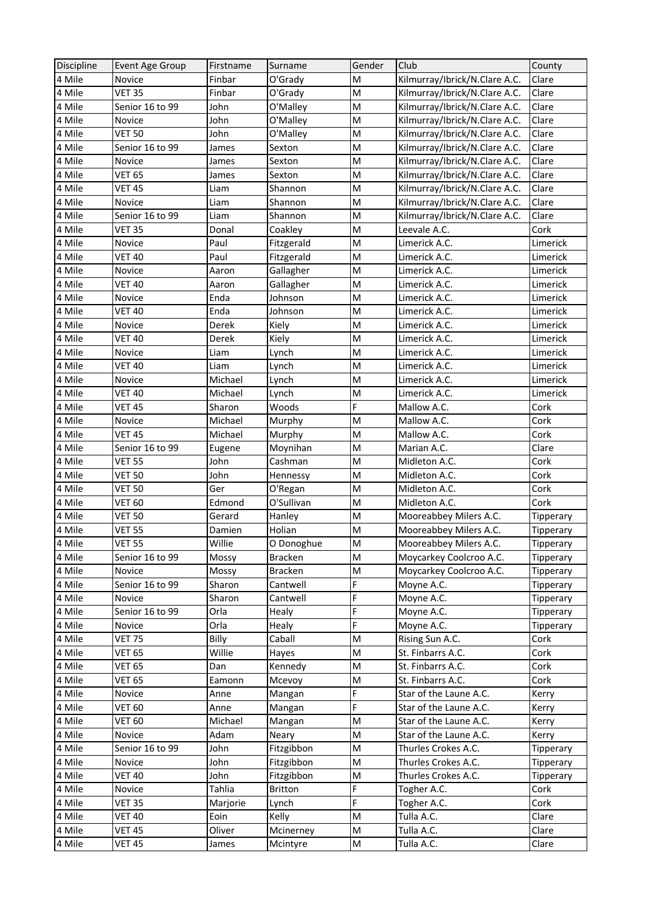| Discipline | Event Age Group | Firstname | Surname        | Gender                                                                                | Club                          | County           |
|------------|-----------------|-----------|----------------|---------------------------------------------------------------------------------------|-------------------------------|------------------|
| 4 Mile     | <b>Novice</b>   | Finbar    | O'Grady        | M                                                                                     | Kilmurray/Ibrick/N.Clare A.C. | Clare            |
| 4 Mile     | <b>VET 35</b>   | Finbar    | O'Grady        | M                                                                                     | Kilmurray/Ibrick/N.Clare A.C. | Clare            |
| 4 Mile     | Senior 16 to 99 | John      | O'Malley       | M                                                                                     | Kilmurray/Ibrick/N.Clare A.C. | Clare            |
| 4 Mile     | Novice          | John      | O'Malley       | M                                                                                     | Kilmurray/Ibrick/N.Clare A.C. | Clare            |
| 4 Mile     | <b>VET 50</b>   | John      | O'Malley       | M                                                                                     | Kilmurray/Ibrick/N.Clare A.C. | Clare            |
| 4 Mile     | Senior 16 to 99 | James     | Sexton         | M                                                                                     | Kilmurray/Ibrick/N.Clare A.C. | Clare            |
| 4 Mile     | Novice          | James     | Sexton         | M                                                                                     | Kilmurray/Ibrick/N.Clare A.C. | Clare            |
| 4 Mile     | <b>VET 65</b>   | James     | Sexton         | M                                                                                     | Kilmurray/Ibrick/N.Clare A.C. | Clare            |
| 4 Mile     | VET 45          | Liam      | Shannon        | M                                                                                     | Kilmurray/Ibrick/N.Clare A.C. | Clare            |
| 4 Mile     | Novice          | Liam      | Shannon        | M                                                                                     | Kilmurray/Ibrick/N.Clare A.C. | Clare            |
| 4 Mile     | Senior 16 to 99 | Liam      | Shannon        | M                                                                                     | Kilmurray/Ibrick/N.Clare A.C. | Clare            |
| 4 Mile     | <b>VET 35</b>   | Donal     | Coakley        | M                                                                                     | Leevale A.C.                  | Cork             |
| 4 Mile     | Novice          | Paul      | Fitzgerald     | M                                                                                     | Limerick A.C.                 | Limerick         |
| 4 Mile     | <b>VET 40</b>   | Paul      | Fitzgerald     | M                                                                                     | Limerick A.C.                 | Limerick         |
| 4 Mile     | Novice          | Aaron     | Gallagher      | M                                                                                     | Limerick A.C.                 | Limerick         |
| 4 Mile     | <b>VET 40</b>   | Aaron     | Gallagher      | M                                                                                     | Limerick A.C.                 | Limerick         |
| 4 Mile     | Novice          | Enda      | Johnson        | M                                                                                     | Limerick A.C.                 | Limerick         |
| 4 Mile     | <b>VET 40</b>   | Enda      | Johnson        | M                                                                                     | Limerick A.C.                 | Limerick         |
| 4 Mile     | Novice          | Derek     | Kiely          | M                                                                                     | Limerick A.C.                 | Limerick         |
| 4 Mile     | <b>VET 40</b>   | Derek     | Kiely          | M                                                                                     | Limerick A.C.                 | Limerick         |
| 4 Mile     | Novice          | Liam      | Lynch          | M                                                                                     | Limerick A.C.                 | Limerick         |
| 4 Mile     | <b>VET 40</b>   | Liam      | Lynch          | M                                                                                     | Limerick A.C.                 | Limerick         |
| 4 Mile     | Novice          | Michael   | Lynch          | M                                                                                     | Limerick A.C.                 | Limerick         |
| 4 Mile     | <b>VET 40</b>   | Michael   | Lynch          | M                                                                                     | Limerick A.C.                 | Limerick         |
| 4 Mile     | <b>VET 45</b>   | Sharon    | Woods          | F                                                                                     | Mallow A.C.                   | Cork             |
| 4 Mile     | Novice          | Michael   | Murphy         | M                                                                                     | Mallow A.C.                   | Cork             |
| 4 Mile     | <b>VET 45</b>   | Michael   | Murphy         | M                                                                                     | Mallow A.C.                   | Cork             |
| 4 Mile     | Senior 16 to 99 | Eugene    | Moynihan       | M                                                                                     | Marian A.C.                   | Clare            |
| 4 Mile     | <b>VET 55</b>   | John      | Cashman        | M                                                                                     | Midleton A.C.                 | Cork             |
| 4 Mile     | <b>VET 50</b>   | John      | Hennessy       | M                                                                                     | Midleton A.C.                 | Cork             |
| 4 Mile     | VET 50          | Ger       | O'Regan        | M                                                                                     | Midleton A.C.                 | Cork             |
| 4 Mile     | <b>VET 60</b>   | Edmond    | O'Sullivan     | M                                                                                     | Midleton A.C.                 | Cork             |
| 4 Mile     | <b>VET 50</b>   | Gerard    | Hanley         | M                                                                                     | Mooreabbey Milers A.C.        | <b>Tipperary</b> |
| 4 Mile     | <b>VET 55</b>   | Damien    | Holian         | M                                                                                     | Mooreabbey Milers A.C.        | <b>Tipperary</b> |
| 4 Mile     | <b>VET 55</b>   | Willie    | O Donoghue     | $\mathsf{M}% _{T}=\mathsf{M}_{T}\!\left( a,b\right) ,\ \mathsf{M}_{T}=\mathsf{M}_{T}$ | Mooreabbey Milers A.C.        | Tipperary        |
| 4 Mile     | Senior 16 to 99 | Mossy     | <b>Bracken</b> | M                                                                                     | Moycarkey Coolcroo A.C.       | Tipperary        |
| 4 Mile     | Novice          | Mossy     | <b>Bracken</b> | M                                                                                     | Moycarkey Coolcroo A.C.       | Tipperary        |
| 4 Mile     | Senior 16 to 99 | Sharon    | Cantwell       | F                                                                                     | Moyne A.C.                    | Tipperary        |
| 4 Mile     | Novice          | Sharon    | Cantwell       | F                                                                                     | Moyne A.C.                    | Tipperary        |
| 4 Mile     | Senior 16 to 99 | Orla      | Healy          | F                                                                                     | Moyne A.C.                    | Tipperary        |
| 4 Mile     | Novice          | Orla      | Healy          | F                                                                                     | Moyne A.C.                    | Tipperary        |
| 4 Mile     | <b>VET 75</b>   | Billy     | Caball         | M                                                                                     | Rising Sun A.C.               | Cork             |
| 4 Mile     | <b>VET 65</b>   | Willie    | Hayes          | M                                                                                     | St. Finbarrs A.C.             | Cork             |
| 4 Mile     | <b>VET 65</b>   | Dan       | Kennedy        | M                                                                                     | St. Finbarrs A.C.             | Cork             |
| 4 Mile     | <b>VET 65</b>   | Eamonn    | Mcevoy         | M                                                                                     | St. Finbarrs A.C.             | Cork             |
| 4 Mile     | Novice          | Anne      | Mangan         | F                                                                                     | Star of the Laune A.C.        | Kerry            |
| 4 Mile     | <b>VET 60</b>   | Anne      | Mangan         | F.                                                                                    | Star of the Laune A.C.        | Kerry            |
| 4 Mile     | <b>VET 60</b>   | Michael   | Mangan         | M                                                                                     | Star of the Laune A.C.        | Kerry            |
| 4 Mile     | Novice          | Adam      | Neary          | M                                                                                     | Star of the Laune A.C.        | Kerry            |
| 4 Mile     | Senior 16 to 99 | John      | Fitzgibbon     | M                                                                                     | Thurles Crokes A.C.           | Tipperary        |
| 4 Mile     | Novice          | John      | Fitzgibbon     | M                                                                                     | Thurles Crokes A.C.           | Tipperary        |
| 4 Mile     | <b>VET 40</b>   | John      | Fitzgibbon     | M                                                                                     | Thurles Crokes A.C.           | Tipperary        |
| 4 Mile     | Novice          | Tahlia    | Britton        | F                                                                                     | Togher A.C.                   | Cork             |
| 4 Mile     | <b>VET 35</b>   | Marjorie  | Lynch          | F                                                                                     | Togher A.C.                   | Cork             |
| 4 Mile     | <b>VET 40</b>   | Eoin      | Kelly          | M                                                                                     | Tulla A.C.                    | Clare            |
| 4 Mile     | <b>VET 45</b>   | Oliver    | Mcinerney      | M                                                                                     | Tulla A.C.                    | Clare            |
| 4 Mile     | VET 45          | James     | Mcintyre       | M                                                                                     | Tulla A.C.                    | Clare            |